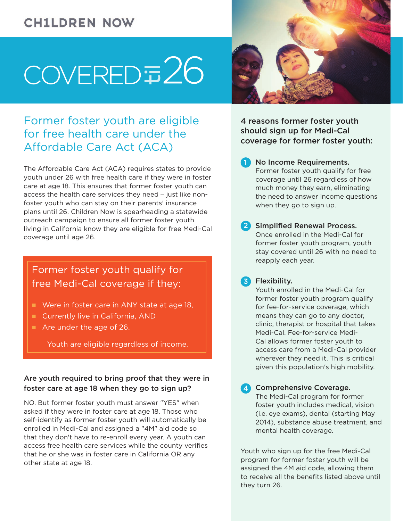# **CH1LDREN NOW**

# $COVERED \equiv 26$

# Former foster youth are eligible for free health care under the Affordable Care Act (ACA)

The Affordable Care Act (ACA) requires states to provide youth under 26 with free health care if they were in foster care at age 18. This ensures that former foster youth can access the health care services they need – just like nonfoster youth who can stay on their parents' insurance plans until 26. Children Now is spearheading a statewide outreach campaign to ensure all former foster youth living in California know they are eligible for free Medi-Cal coverage until age 26.

# Former foster youth qualify for free Medi-Cal coverage if they:

- Were in foster care in ANY state at age 18,
- **Currently live in California, AND**
- Are under the age of 26.

Youth are eligible regardless of income.

## Are youth required to bring proof that they were in foster care at age 18 when they go to sign up?

NO. But former foster youth must answer "YES" when asked if they were in foster care at age 18. Those who self-identify as former foster youth will automatically be enrolled in Medi-Cal and assigned a "4M" aid code so that they don't have to re-enroll every year. A youth can access free health care services while the county verifies that he or she was in foster care in California OR any other state at age 18.



4 reasons former foster youth should sign up for Medi-Cal coverage for former foster youth:

1 No Income Requirements. Former foster youth qualify for free coverage until 26 regardless of how much money they earn, eliminating the need to answer income questions when they go to sign up.

#### 2 Simplified Renewal Process. Once enrolled in the Medi-Cal for former foster youth program, youth stay covered until 26 with no need to reapply each year.

# **3** Flexibility.

Youth enrolled in the Medi-Cal for former foster youth program qualify for fee-for-service coverage, which means they can go to any doctor, clinic, therapist or hospital that takes Medi-Cal. Fee-for-service Medi-Cal allows former foster youth to access care from a Medi-Cal provider wherever they need it. This is critical given this population's high mobility.

#### 4 Comprehensive Coverage.

The Medi-Cal program for former foster youth includes medical, vision (i.e. eye exams), dental (starting May 2014), substance abuse treatment, and mental health coverage.

Youth who sign up for the free Medi-Cal program for former foster youth will be assigned the 4M aid code, allowing them to receive all the benefits listed above until they turn 26.